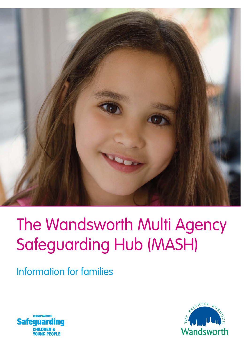

# The Wandsworth Multi Agency Safeguarding Hub (MASH)

Information for families



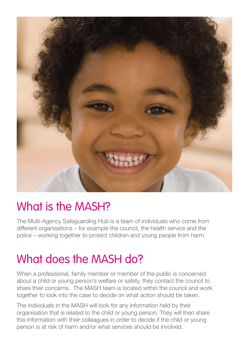

#### What is the MASH?

The Multi-Agency Safeguarding Hub is a team of individuals who come from different organisations – for example the council, the health service and the police – working together to protect children and young people from harm.

#### What does the MASH do?

When a professional, family member or member of the public is concerned about a child or young person's welfare or safety, they contact the council to share their concerns. The MASH team is located within the council and work together to look into the case to decide on what action should be taken.

The individuals in the MASH will look for any information held by their organisation that is related to the child or young person. They will then share this information with their colleagues in order to decide if the child or young person is at risk of harm and/or what services should be involved.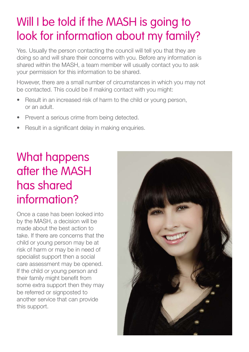#### Will I be told if the MASH is going to look for information about my family?

Yes. Usually the person contacting the council will tell you that they are doing so and will share their concerns with you. Before any information is shared within the MASH, a team member will usually contact you to ask your permission for this information to be shared.

However, there are a small number of circumstances in which you may not be contacted. This could be if making contact with you might:

- Result in an increased risk of harm to the child or young person, or an adult.
- Prevent a serious crime from being detected.
- Result in a significant delay in making enquiries.

## What happens after the MASH has shared information?

Once a case has been looked into by the MASH, a decision will be made about the best action to take. If there are concerns that the child or young person may be at risk of harm or may be in need of specialist support then a social care assessment may be opened. If the child or young person and their family might benefit from some extra support then they may be referred or signposted to another service that can provide this support.